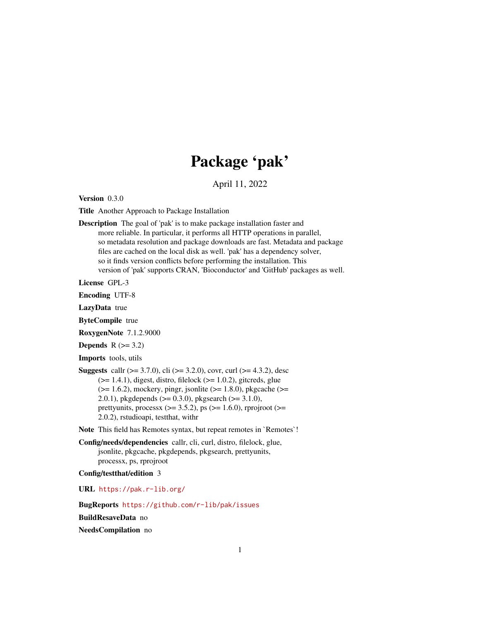## Package 'pak'

April 11, 2022

<span id="page-0-0"></span>Version 0.3.0

Title Another Approach to Package Installation

Description The goal of 'pak' is to make package installation faster and more reliable. In particular, it performs all HTTP operations in parallel, so metadata resolution and package downloads are fast. Metadata and package files are cached on the local disk as well. 'pak' has a dependency solver, so it finds version conflicts before performing the installation. This version of 'pak' supports CRAN, 'Bioconductor' and 'GitHub' packages as well.

License GPL-3

Encoding UTF-8

LazyData true

ByteCompile true

RoxygenNote 7.1.2.9000

Depends  $R$  ( $>= 3.2$ )

Imports tools, utils

**Suggests** callr ( $>= 3.7.0$ ), cli ( $>= 3.2.0$ ), covr, curl ( $>= 4.3.2$ ), desc  $(>= 1.4.1)$ , digest, distro, filelock  $(>= 1.0.2)$ , gitcreds, glue  $(>= 1.6.2)$ , mockery, pingr, jsonlite  $(>= 1.8.0)$ , pkgcache  $(>= 1.6.2)$ 2.0.1), pkgdepends ( $>= 0.3.0$ ), pkgsearch ( $>= 3.1.0$ ), prettyunits, processx ( $> = 3.5.2$ ), ps ( $> = 1.6.0$ ), rprojroot ( $> =$ 2.0.2), rstudioapi, testthat, withr

Note This field has Remotes syntax, but repeat remotes in `Remotes`!

Config/needs/dependencies callr, cli, curl, distro, filelock, glue, jsonlite, pkgcache, pkgdepends, pkgsearch, prettyunits, processx, ps, rprojroot

Config/testthat/edition 3

URL <https://pak.r-lib.org/>

BugReports <https://github.com/r-lib/pak/issues>

BuildResaveData no

NeedsCompilation no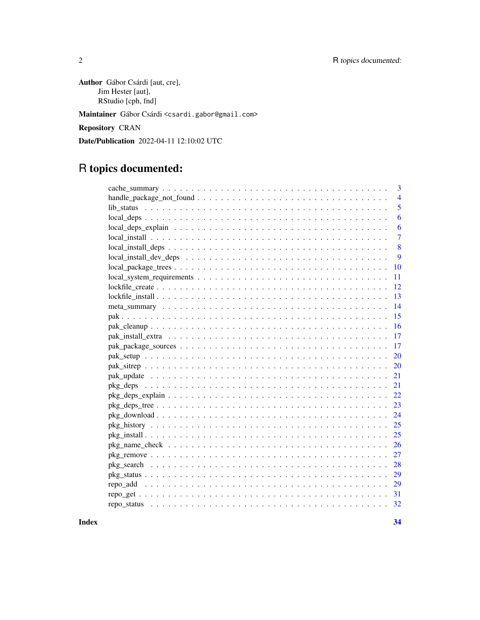Author Gábor Csárdi [aut, cre], Jim Hester [aut], RStudio [cph, fnd]

Maintainer Gábor Csárdi <csardi.gabor@gmail.com>

Repository CRAN

Date/Publication 2022-04-11 12:10:02 UTC

## R topics documented:

| 3                                                                                                        |
|----------------------------------------------------------------------------------------------------------|
| $\overline{4}$                                                                                           |
| 5                                                                                                        |
| 6                                                                                                        |
| 6                                                                                                        |
| $\overline{7}$                                                                                           |
| 8<br>$local\_install\_deps \ldots \ldots \ldots \ldots \ldots \ldots \ldots \ldots \ldots \ldots \ldots$ |
| 9                                                                                                        |
| 10                                                                                                       |
| 11                                                                                                       |
| 12                                                                                                       |
| 13                                                                                                       |
| 14                                                                                                       |
| 15                                                                                                       |
| 16                                                                                                       |
| 17                                                                                                       |
| <b>17</b>                                                                                                |
| 20                                                                                                       |
| 20                                                                                                       |
| 21                                                                                                       |
| 21                                                                                                       |
| 22                                                                                                       |
| 23                                                                                                       |
| 24                                                                                                       |
| 25                                                                                                       |
| 25                                                                                                       |
| 26                                                                                                       |
| 27                                                                                                       |
|                                                                                                          |
| 29                                                                                                       |
| 29                                                                                                       |
| 31                                                                                                       |
|                                                                                                          |
|                                                                                                          |

**Index** [34](#page-33-0)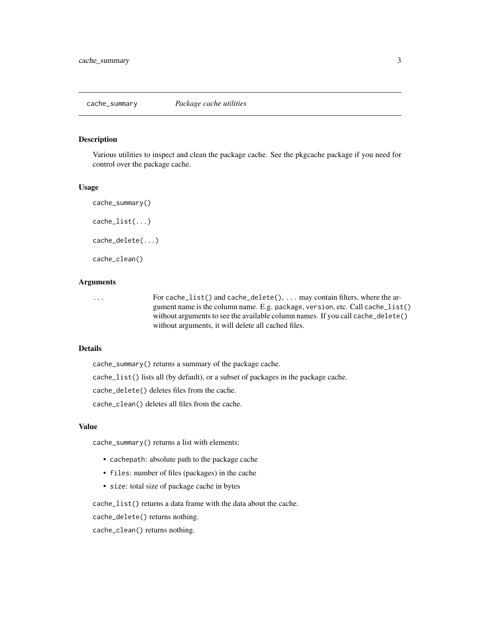<span id="page-2-0"></span>

Various utilities to inspect and clean the package cache. See the pkgcache package if you need for control over the package cache.

#### Usage

```
cache_summary()
cache_list(...)
cache_delete(...)
cache_clean()
```
#### Arguments

... For cache\_list() and cache\_delete(), ... may contain filters, where the argument name is the column name. E.g. package, version, etc. Call cache\_list() without arguments to see the available column names. If you call cache\_delete() without arguments, it will delete all cached files.

## Details

cache\_summary() returns a summary of the package cache.

cache\_list() lists all (by default), or a subset of packages in the package cache.

cache\_delete() deletes files from the cache.

cache\_clean() deletes all files from the cache.

## Value

cache\_summary() returns a list with elements:

- cachepath: absolute path to the package cache
- files: number of files (packages) in the cache
- size: total size of package cache in bytes

cache\_list() returns a data frame with the data about the cache.

cache\_delete() returns nothing.

cache\_clean() returns nothing.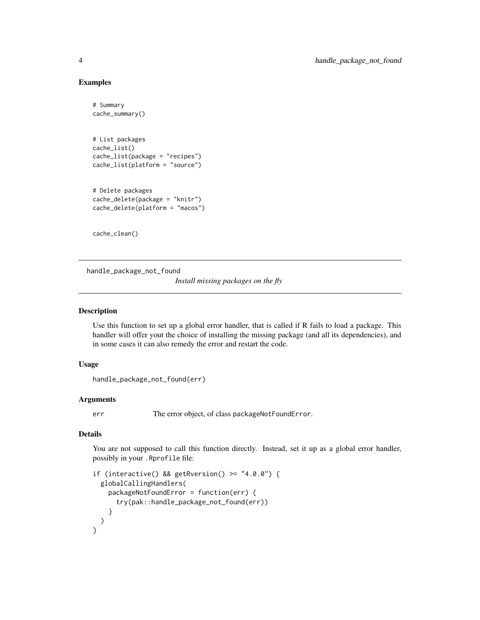#### Examples

```
# Summary
cache_summary()
# List packages
cache_list()
cache_list(package = "recipes")
cache_list(platform = "source")
# Delete packages
cache_delete(package = "knitr")
cache_delete(platform = "macos")
```
cache\_clean()

handle\_package\_not\_found *Install missing packages on the fly*

#### Description

Use this function to set up a global error handler, that is called if R fails to load a package. This handler will offer yout the choice of installing the missing package (and all its dependencies), and in some cases it can also remedy the error and restart the code.

#### Usage

```
handle_package_not_found(err)
```
#### Arguments

err The error object, of class packageNotFoundError.

#### Details

You are not supposed to call this function directly. Instead, set it up as a global error handler, possibly in your .Rprofile file:

```
if (interactive() && getRversion() >= "4.0.0") {
 globalCallingHandlers(
   packageNotFoundError = function(err) {
     try(pak::handle_package_not_found(err))
    }
 )
}
```
<span id="page-3-0"></span>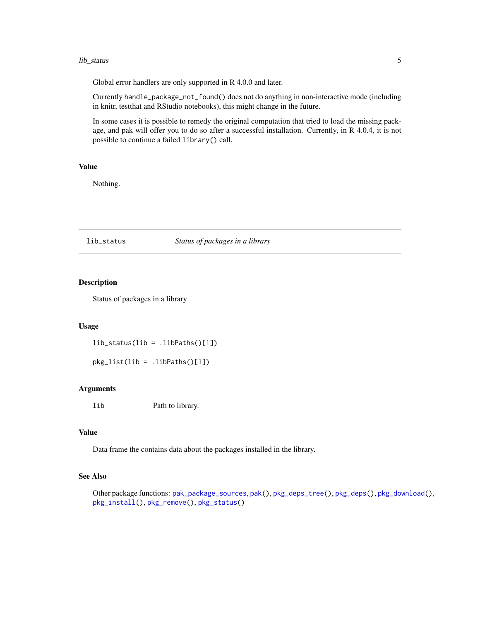#### <span id="page-4-0"></span>lib\_status 5

Global error handlers are only supported in R 4.0.0 and later.

Currently handle\_package\_not\_found() does not do anything in non-interactive mode (including in knitr, testthat and RStudio notebooks), this might change in the future.

In some cases it is possible to remedy the original computation that tried to load the missing package, and pak will offer you to do so after a successful installation. Currently, in R 4.0.4, it is not possible to continue a failed library() call.

#### Value

Nothing.

#### <span id="page-4-1"></span>lib\_status *Status of packages in a library*

#### Description

Status of packages in a library

#### Usage

lib\_status(lib = .libPaths()[1])

pkg\_list(lib = .libPaths()[1])

#### **Arguments**

lib Path to library.

## Value

Data frame the contains data about the packages installed in the library.

## See Also

Other package functions: [pak\\_package\\_sources](#page-16-1), [pak\(](#page-14-1)), [pkg\\_deps\\_tree\(](#page-22-1)), [pkg\\_deps\(](#page-20-1)), [pkg\\_download\(](#page-23-1)), [pkg\\_install\(](#page-24-1)), [pkg\\_remove\(](#page-26-1)), [pkg\\_status\(](#page-28-1))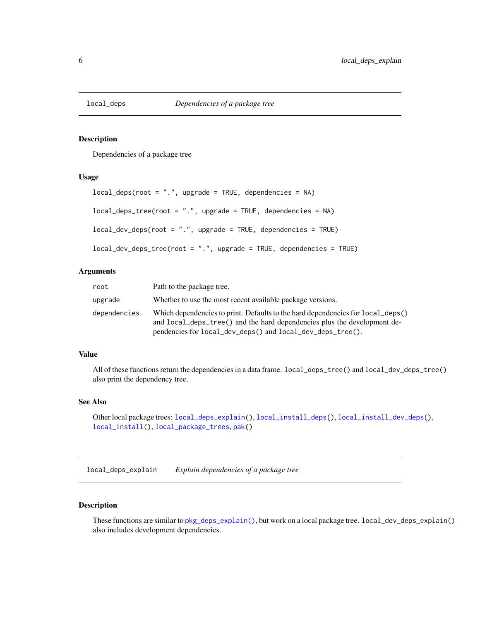<span id="page-5-2"></span><span id="page-5-0"></span>

Dependencies of a package tree

#### Usage

```
local\_deposit(root = ".", upgrade = TRUE, dependencies = NA)
local\_deps\_tree(root = ".", upgrade = TRUE, dependencies = NA)
local_dev_deps(root = ".", upgrade = TRUE, dependencies = TRUE)
local_dev_deps_tree(root = ".", upgrade = TRUE, dependencies = TRUE)
```
## Arguments

| root         | Path to the package tree.                                                                                                                                                                                                 |
|--------------|---------------------------------------------------------------------------------------------------------------------------------------------------------------------------------------------------------------------------|
| upgrade      | Whether to use the most recent available package versions.                                                                                                                                                                |
| dependencies | Which dependencies to print. Defaults to the hard dependencies for local deps()<br>and local_deps_tree() and the hard dependencies plus the development de-<br>pendencies for local_dev_deps() and local_dev_deps_tree(). |

#### Value

All of these functions return the dependencies in a data frame. local\_deps\_tree() and local\_dev\_deps\_tree() also print the dependency tree.

#### See Also

```
Other local package trees: local_deps_explain(), local_install_deps(), local_install_dev_deps(),
local_install(), local_package_trees, pak()
```
<span id="page-5-1"></span>local\_deps\_explain *Explain dependencies of a package tree*

## Description

These functions are similar to [pkg\\_deps\\_explain\(\)](#page-21-1), but work on a local package tree. local\_dev\_deps\_explain() also includes development dependencies.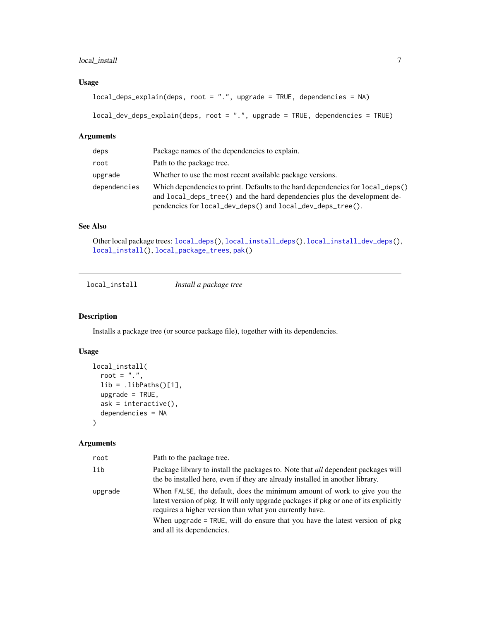## <span id="page-6-0"></span>local\_install 7

## Usage

```
local_{\text{c}}eps_explain(deps, root = ".", upgrade = TRUE, dependencies = NA)
```

```
local_dev_deps_explain(deps, root = ".", upgrade = TRUE, dependencies = TRUE)
```
#### Arguments

| deps         | Package names of the dependencies to explain.                                                                                                                                                                             |
|--------------|---------------------------------------------------------------------------------------------------------------------------------------------------------------------------------------------------------------------------|
| root         | Path to the package tree.                                                                                                                                                                                                 |
| upgrade      | Whether to use the most recent available package versions.                                                                                                                                                                |
| dependencies | Which dependencies to print. Defaults to the hard dependencies for local_deps()<br>and local_deps_tree() and the hard dependencies plus the development de-<br>pendencies for local_dev_deps() and local_dev_deps_tree(). |

## See Also

Other local package trees: [local\\_deps\(](#page-5-2)), [local\\_install\\_deps\(](#page-7-1)), [local\\_install\\_dev\\_deps\(](#page-8-1)), [local\\_install\(](#page-6-1)), [local\\_package\\_trees](#page-9-1), [pak\(](#page-14-1))

<span id="page-6-1"></span>

| local_install | Install a package tree |  |
|---------------|------------------------|--|
|---------------|------------------------|--|

## Description

Installs a package tree (or source package file), together with its dependencies.

## Usage

```
local_install(
  root = ".'',lib = .libPaths()[1],
 upgrade = TRUE,ask = interactive(),
  dependencies = NA
\mathcal{L}
```
## Arguments

| root    | Path to the package tree.                                                                                                                                                                                                   |
|---------|-----------------------------------------------------------------------------------------------------------------------------------------------------------------------------------------------------------------------------|
| lib     | Package library to install the packages to. Note that all dependent packages will<br>the be installed here, even if they are already installed in another library.                                                          |
| upgrade | When FALSE, the default, does the minimum amount of work to give you the<br>latest version of pkg. It will only upgrade packages if pkg or one of its explicitly<br>requires a higher version than what you currently have. |
|         | When upgrade $=$ TRUE, will do ensure that you have the latest version of $pkg$<br>and all its dependencies.                                                                                                                |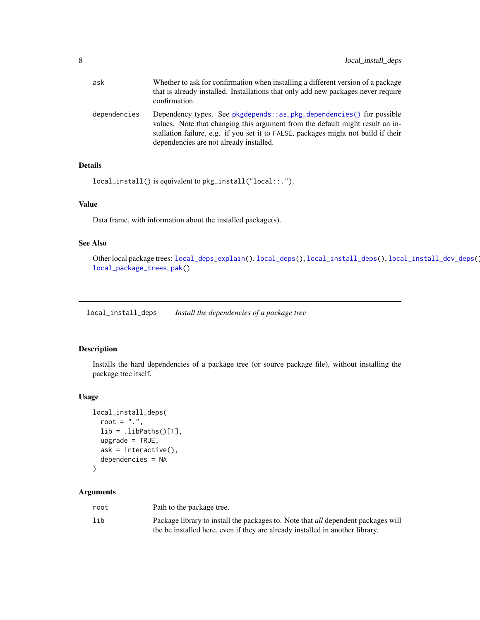<span id="page-7-0"></span>

| ask          | Whether to ask for confirmation when installing a different version of a package<br>that is already installed. Installations that only add new packages never require<br>confirmation.                                                                                                 |
|--------------|----------------------------------------------------------------------------------------------------------------------------------------------------------------------------------------------------------------------------------------------------------------------------------------|
| dependencies | Dependency types. See pkgdepends::as_pkg_dependencies() for possible<br>values. Note that changing this argument from the default might result an in-<br>stallation failure, e.g. if you set it to FALSE, packages might not build if their<br>dependencies are not already installed. |

## Details

```
local_install() is equivalent to pkg_install("local::.").
```
## Value

Data frame, with information about the installed package(s).

#### See Also

Other local package trees: [local\\_deps\\_explain\(](#page-5-1)), [local\\_deps\(](#page-5-2)), [local\\_install\\_deps\(](#page-7-1)), [local\\_install\\_dev\\_deps\(](#page-8-1)), [local\\_package\\_trees](#page-9-1), [pak\(](#page-14-1))

<span id="page-7-1"></span>local\_install\_deps *Install the dependencies of a package tree*

## Description

Installs the hard dependencies of a package tree (or source package file), without installing the package tree itself.

## Usage

```
local_install_deps(
  root = ".".lib = .libPaths()[1],
  upgrade = TRUE,
  ask = interactive(),
  dependencies = NA
)
```
#### Arguments

| root | Path to the package tree.                                                                |
|------|------------------------------------------------------------------------------------------|
| lib  | Package library to install the packages to. Note that <i>all</i> dependent packages will |
|      | the be installed here, even if they are already installed in another library.            |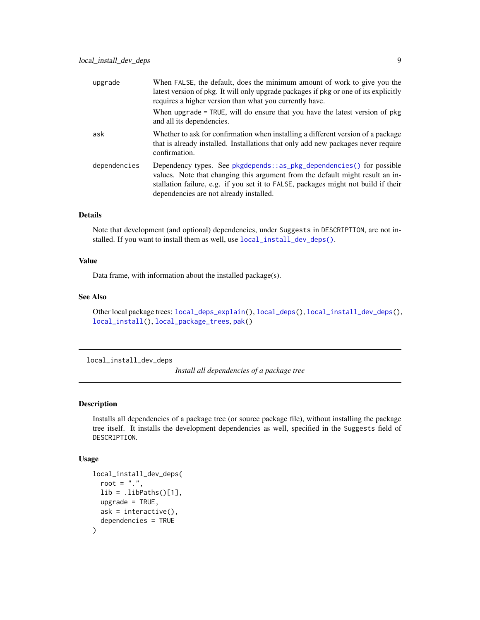<span id="page-8-0"></span>

| upgrade      | When FALSE, the default, does the minimum amount of work to give you the<br>latest version of pkg. It will only upgrade packages if pkg or one of its explicitly<br>requires a higher version than what you currently have.<br>When upgrade = TRUE, will do ensure that you have the latest version of pkg<br>and all its dependencies. |
|--------------|-----------------------------------------------------------------------------------------------------------------------------------------------------------------------------------------------------------------------------------------------------------------------------------------------------------------------------------------|
| ask          | Whether to ask for confirmation when installing a different version of a package<br>that is already installed. Installations that only add new packages never require<br>confirmation.                                                                                                                                                  |
| dependencies | Dependency types. See pkgdepends::as_pkg_dependencies() for possible<br>values. Note that changing this argument from the default might result an in-<br>stallation failure, e.g. if you set it to FALSE, packages might not build if their<br>dependencies are not already installed.                                                  |

## Details

Note that development (and optional) dependencies, under Suggests in DESCRIPTION, are not installed. If you want to install them as well, use [local\\_install\\_dev\\_deps\(\)](#page-8-1).

#### Value

Data frame, with information about the installed package(s).

## See Also

Other local package trees: [local\\_deps\\_explain\(](#page-5-1)), [local\\_deps\(](#page-5-2)), [local\\_install\\_dev\\_deps\(](#page-8-1)), [local\\_install\(](#page-6-1)), [local\\_package\\_trees](#page-9-1), [pak\(](#page-14-1))

<span id="page-8-1"></span>local\_install\_dev\_deps

*Install all dependencies of a package tree*

#### Description

Installs all dependencies of a package tree (or source package file), without installing the package tree itself. It installs the development dependencies as well, specified in the Suggests field of DESCRIPTION.

#### Usage

```
local_install_dev_deps(
  root = ".''.lib = .libPaths()[1],
 upgrade = TRUE,
 ask = interactive(),
  dependencies = TRUE
)
```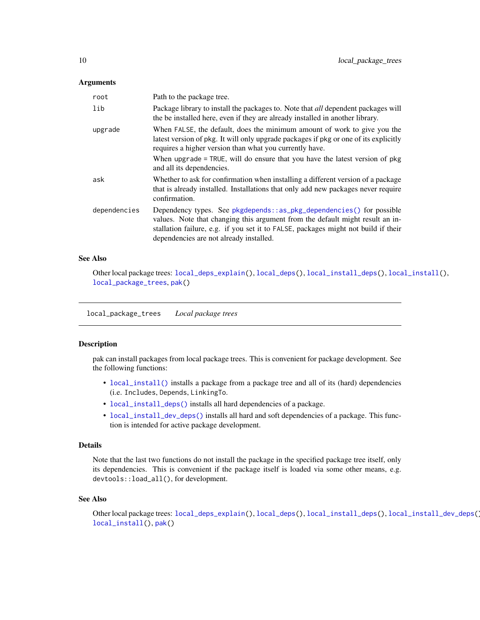#### <span id="page-9-0"></span>**Arguments**

| root         | Path to the package tree.                                                                                                                                                                                                                                                                                                               |
|--------------|-----------------------------------------------------------------------------------------------------------------------------------------------------------------------------------------------------------------------------------------------------------------------------------------------------------------------------------------|
| lib          | Package library to install the packages to. Note that <i>all</i> dependent packages will<br>the be installed here, even if they are already installed in another library.                                                                                                                                                               |
| upgrade      | When FALSE, the default, does the minimum amount of work to give you the<br>latest version of pkg. It will only upgrade packages if pkg or one of its explicitly<br>requires a higher version than what you currently have.<br>When upgrade = TRUE, will do ensure that you have the latest version of pkg<br>and all its dependencies. |
| ask          | Whether to ask for confirmation when installing a different version of a package<br>that is already installed. Installations that only add new packages never require<br>confirmation.                                                                                                                                                  |
| dependencies | Dependency types. See pkgdepends::as_pkg_dependencies() for possible<br>values. Note that changing this argument from the default might result an in-<br>stallation failure, e.g. if you set it to FALSE, packages might not build if their<br>dependencies are not already installed.                                                  |

#### See Also

Other local package trees: [local\\_deps\\_explain\(](#page-5-1)), [local\\_deps\(](#page-5-2)), [local\\_install\\_deps\(](#page-7-1)), [local\\_install\(](#page-6-1)), [local\\_package\\_trees](#page-9-1), [pak\(](#page-14-1))

<span id="page-9-1"></span>local\_package\_trees *Local package trees*

#### Description

pak can install packages from local package trees. This is convenient for package development. See the following functions:

- [local\\_install\(\)](#page-6-1) installs a package from a package tree and all of its (hard) dependencies (i.e. Includes, Depends, LinkingTo.
- [local\\_install\\_deps\(\)](#page-7-1) installs all hard dependencies of a package.
- [local\\_install\\_dev\\_deps\(\)](#page-8-1) installs all hard and soft dependencies of a package. This function is intended for active package development.

#### Details

Note that the last two functions do not install the package in the specified package tree itself, only its dependencies. This is convenient if the package itself is loaded via some other means, e.g. devtools::load\_all(), for development.

## See Also

Other local package trees: [local\\_deps\\_explain\(](#page-5-1)), [local\\_deps\(](#page-5-2)), [local\\_install\\_deps\(](#page-7-1)), [local\\_install\\_dev\\_deps\(](#page-8-1)), [local\\_install\(](#page-6-1)), [pak\(](#page-14-1))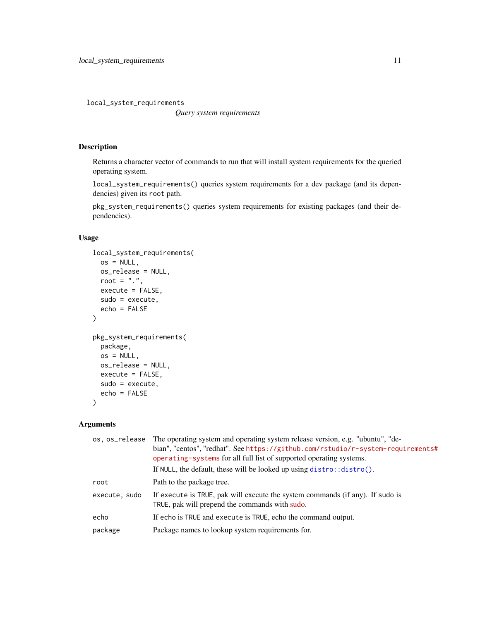<span id="page-10-0"></span>local\_system\_requirements

*Query system requirements*

## Description

Returns a character vector of commands to run that will install system requirements for the queried operating system.

local\_system\_requirements() queries system requirements for a dev package (and its dependencies) given its root path.

pkg\_system\_requirements() queries system requirements for existing packages (and their dependencies).

## Usage

```
local_system_requirements(
 os = NULL,os_release = NULL,
 root = ".".execute = FALSE,
 sudo = execute,
 echo = FALSE
)
pkg_system_requirements(
 package,
 os = NULL,os_release = NULL,
 execute = FALSE,
 sudo = execute,
 echo = FALSE
)
```
## Arguments

| os.os_release | The operating system and operating system release version, e.g. "ubuntu", "de-<br>bian", "centos", "redhat". See https://github.com/rstudio/r-system-requirements#<br>operating-systems for all full list of supported operating systems.<br>If NULL, the default, these will be looked up using $distro::distro()$ . |
|---------------|-----------------------------------------------------------------------------------------------------------------------------------------------------------------------------------------------------------------------------------------------------------------------------------------------------------------------|
| root          | Path to the package tree.                                                                                                                                                                                                                                                                                             |
| execute, sudo | If execute is TRUE, pak will execute the system commands (if any). If sudo is<br>TRUE, pak will prepend the commands with sudo.                                                                                                                                                                                       |
| echo          | If echo is TRUE and execute is TRUE, echo the command output.                                                                                                                                                                                                                                                         |
| package       | Package names to lookup system requirements for.                                                                                                                                                                                                                                                                      |
|               |                                                                                                                                                                                                                                                                                                                       |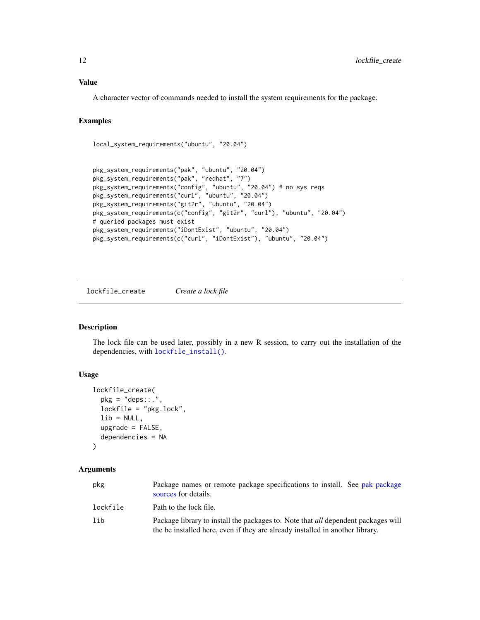## <span id="page-11-0"></span>Value

A character vector of commands needed to install the system requirements for the package.

## Examples

```
local_system_requirements("ubuntu", "20.04")
```

```
pkg_system_requirements("pak", "ubuntu", "20.04")
pkg_system_requirements("pak", "redhat", "7")
pkg_system_requirements("config", "ubuntu", "20.04") # no sys reqs
pkg_system_requirements("curl", "ubuntu", "20.04")
pkg_system_requirements("git2r", "ubuntu", "20.04")
pkg_system_requirements(c("config", "git2r", "curl"), "ubuntu", "20.04")
# queried packages must exist
pkg_system_requirements("iDontExist", "ubuntu", "20.04")
pkg_system_requirements(c("curl", "iDontExist"), "ubuntu", "20.04")
```
<span id="page-11-1"></span>lockfile\_create *Create a lock file*

#### Description

The lock file can be used later, possibly in a new R session, to carry out the installation of the dependencies, with [lockfile\\_install\(\)](#page-12-1).

#### Usage

```
lockfile_create(
 pkg = "deps::."lockfile = "pkg.lock",
 lib = NULL,upgrade = FALSE,dependencies = NA
)
```
## Arguments

| pkg      | Package names or remote package specifications to install. See pak package<br>sources for details.                                                                        |  |
|----------|---------------------------------------------------------------------------------------------------------------------------------------------------------------------------|--|
| lockfile | Path to the lock file.                                                                                                                                                    |  |
| lib      | Package library to install the packages to. Note that <i>all</i> dependent packages will<br>the be installed here, even if they are already installed in another library. |  |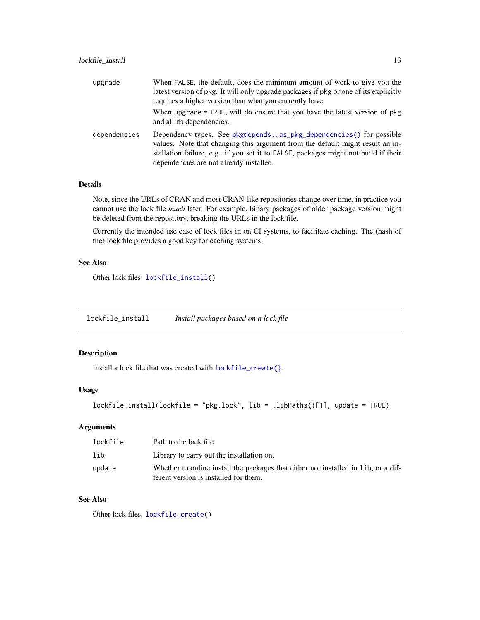<span id="page-12-0"></span>

| upgrade      | When FALSE, the default, does the minimum amount of work to give you the<br>latest version of pkg. It will only upgrade packages if pkg or one of its explicitly<br>requires a higher version than what you currently have.                                                            |
|--------------|----------------------------------------------------------------------------------------------------------------------------------------------------------------------------------------------------------------------------------------------------------------------------------------|
|              | When upgrade = TRUE, will do ensure that you have the latest version of pkg<br>and all its dependencies.                                                                                                                                                                               |
| dependencies | Dependency types. See pkgdepends::as_pkg_dependencies() for possible<br>values. Note that changing this argument from the default might result an in-<br>stallation failure, e.g. if you set it to FALSE, packages might not build if their<br>dependencies are not already installed. |

## Details

Note, since the URLs of CRAN and most CRAN-like repositories change over time, in practice you cannot use the lock file *much* later. For example, binary packages of older package version might be deleted from the repository, breaking the URLs in the lock file.

Currently the intended use case of lock files in on CI systems, to facilitate caching. The (hash of the) lock file provides a good key for caching systems.

## See Also

Other lock files: [lockfile\\_install\(](#page-12-1))

<span id="page-12-1"></span>lockfile\_install *Install packages based on a lock file*

## Description

Install a lock file that was created with [lockfile\\_create\(\)](#page-11-1).

#### Usage

lockfile\_install(lockfile = "pkg.lock", lib = .libPaths()[1], update = TRUE)

## Arguments

| lockfile | Path to the lock file.                                                              |
|----------|-------------------------------------------------------------------------------------|
| lib      | Library to carry out the installation on.                                           |
| update   | Whether to online install the packages that either not installed in 1 ib, or a dif- |
|          | ferent version is installed for them.                                               |

## See Also

Other lock files: [lockfile\\_create\(](#page-11-1))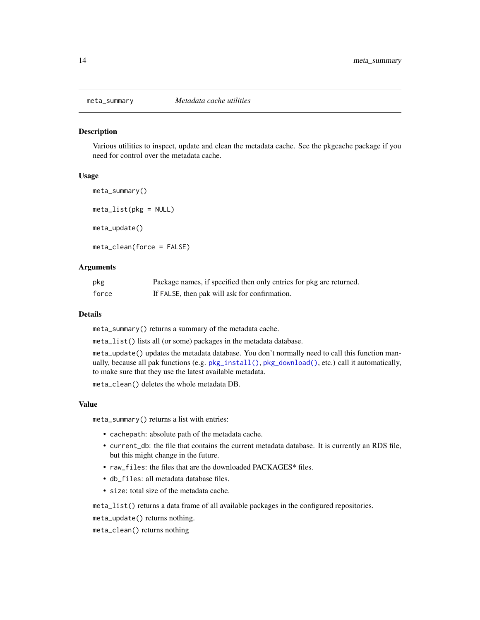<span id="page-13-0"></span>

Various utilities to inspect, update and clean the metadata cache. See the pkgcache package if you need for control over the metadata cache.

#### Usage

```
meta_summary()
meta_list(pkg = NULL)
meta_update()
meta_clean(force = FALSE)
```
#### Arguments

| pkg   | Package names, if specified then only entries for pkg are returned. |
|-------|---------------------------------------------------------------------|
| force | If FALSE, then pak will ask for confirmation.                       |

#### Details

meta\_summary() returns a summary of the metadata cache.

meta\_list() lists all (or some) packages in the metadata database.

meta\_update() updates the metadata database. You don't normally need to call this function manually, because all pak functions (e.g. [pkg\\_install\(\)](#page-24-1), [pkg\\_download\(\)](#page-23-1), etc.) call it automatically, to make sure that they use the latest available metadata.

meta\_clean() deletes the whole metadata DB.

#### Value

meta\_summary() returns a list with entries:

- cachepath: absolute path of the metadata cache.
- current\_db: the file that contains the current metadata database. It is currently an RDS file, but this might change in the future.
- raw\_files: the files that are the downloaded PACKAGES\* files.
- db\_files: all metadata database files.
- size: total size of the metadata cache.

meta\_list() returns a data frame of all available packages in the configured repositories.

meta\_update() returns nothing.

meta\_clean() returns nothing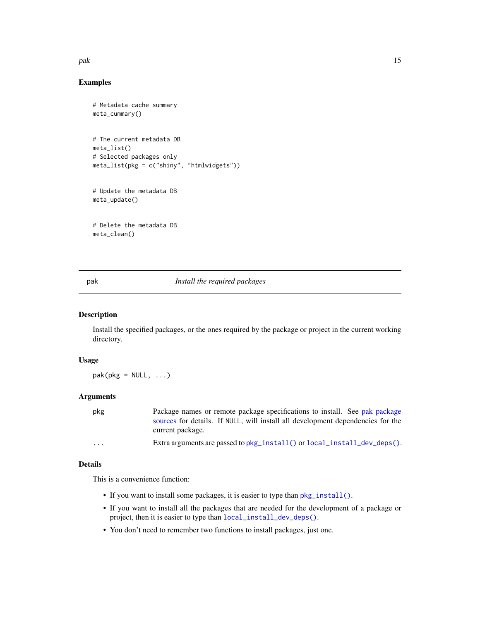#### <span id="page-14-0"></span>pak terminal para terminal para terminal para terminal para terminal para terminal para terminal para terminal

## Examples

```
# Metadata cache summary
meta_cummary()
# The current metadata DB
meta_list()
# Selected packages only
meta_list(pkg = c("shiny", "htmlwidgets"))
# Update the metadata DB
meta_update()
# Delete the metadata DB
meta_clean()
```
<span id="page-14-1"></span>pak *Install the required packages*

## Description

Install the specified packages, or the ones required by the package or project in the current working directory.

#### Usage

 $pak(pkg = NULL, ...)$ 

## Arguments

| pkg | Package names or remote package specifications to install. See pak package      |
|-----|---------------------------------------------------------------------------------|
|     | sources for details. If NULL, will install all development dependencies for the |
|     | current package.                                                                |

```
pkg_install()local_install_dev_deps().
```
#### Details

This is a convenience function:

- If you want to install some packages, it is easier to type than  $pkg\_install()$ .
- If you want to install all the packages that are needed for the development of a package or project, then it is easier to type than [local\\_install\\_dev\\_deps\(\)](#page-8-1).
- You don't need to remember two functions to install packages, just one.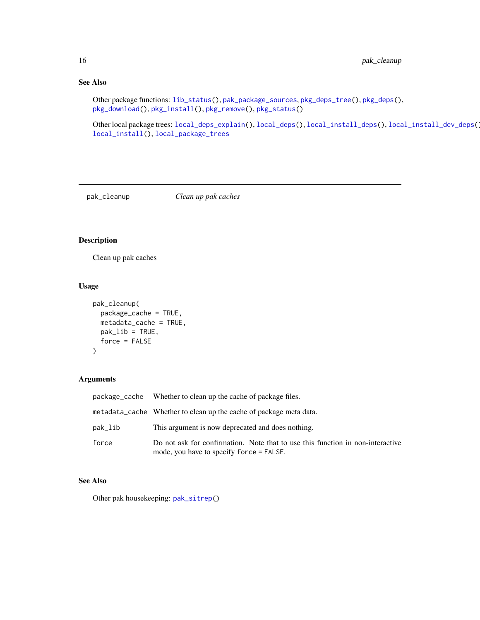## See Also

```
Other package functions: lib_status(), pak_package_sources, pkg_deps_tree(), pkg_deps(),
pkg_download(), pkg_install(), pkg_remove(), pkg_status()
```
Other local package trees: [local\\_deps\\_explain\(](#page-5-1)), [local\\_deps\(](#page-5-2)), [local\\_install\\_deps\(](#page-7-1)), [local\\_install\\_dev\\_deps\(](#page-8-1)), [local\\_install\(](#page-6-1)), [local\\_package\\_trees](#page-9-1)

<span id="page-15-1"></span>

pak\_cleanup *Clean up pak caches*

## Description

Clean up pak caches

## Usage

```
pak_cleanup(
  package_cache = TRUE,
  metadata_cache = TRUE,
  pak\_lib = TRUE,force = FALSE
\mathcal{L}
```
## Arguments

| package_cache | Whether to clean up the cache of package files.                                                                            |
|---------------|----------------------------------------------------------------------------------------------------------------------------|
|               | metadata_cache Whether to clean up the cache of package meta data.                                                         |
| pak_lib       | This argument is now deprecated and does nothing.                                                                          |
| force         | Do not ask for confirmation. Note that to use this function in non-interactive<br>mode, you have to specify force = FALSE. |

#### See Also

Other pak housekeeping: [pak\\_sitrep\(](#page-19-1))

<span id="page-15-0"></span>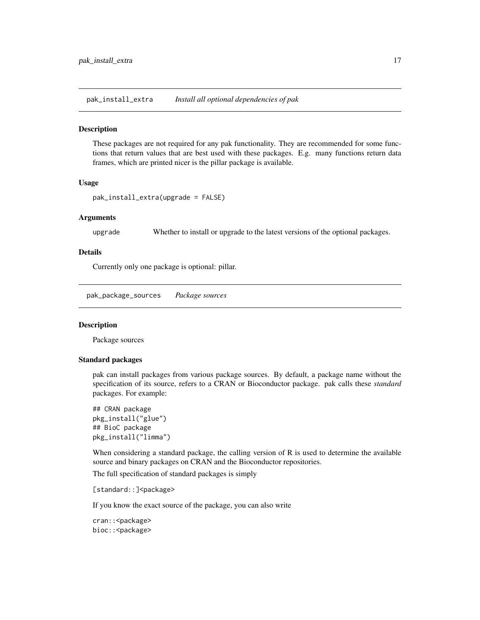<span id="page-16-0"></span>pak\_install\_extra *Install all optional dependencies of pak*

#### Description

These packages are not required for any pak functionality. They are recommended for some functions that return values that are best used with these packages. E.g. many functions return data frames, which are printed nicer is the pillar package is available.

#### Usage

pak\_install\_extra(upgrade = FALSE)

#### Arguments

upgrade Whether to install or upgrade to the latest versions of the optional packages.

#### Details

Currently only one package is optional: pillar.

<span id="page-16-1"></span>pak\_package\_sources *Package sources*

#### Description

Package sources

#### Standard packages

pak can install packages from various package sources. By default, a package name without the specification of its source, refers to a CRAN or Bioconductor package. pak calls these *standard* packages. For example:

```
## CRAN package
pkg_install("glue")
## BioC package
pkg_install("limma")
```
When considering a standard package, the calling version of R is used to determine the available source and binary packages on CRAN and the Bioconductor repositories.

The full specification of standard packages is simply

[standard::]<package>

If you know the exact source of the package, you can also write

cran:: < package> bioc:: < package>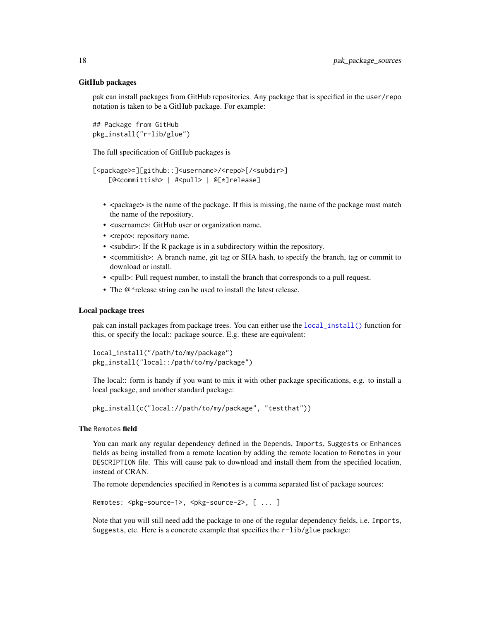#### GitHub packages

pak can install packages from GitHub repositories. Any package that is specified in the user/repo notation is taken to be a GitHub package. For example:

## Package from GitHub pkg\_install("r-lib/glue")

The full specification of GitHub packages is

```
[<package>=][github::]<username>/<repo>[/<subdir>]
    [@<committish> | #<pull> | @[*]release]
```
- <package> is the name of the package. If this is missing, the name of the package must match the name of the repository.
- <username>: GitHub user or organization name.
- <repo>: repository name.
- $\leq$  subdir>: If the R package is in a subdirectory within the repository.
- <commitish>: A branch name, git tag or SHA hash, to specify the branch, tag or commit to download or install.
- $\leq$  < pull request number, to install the branch that corresponds to a pull request.
- The @\*release string can be used to install the latest release.

#### Local package trees

pak can install packages from package trees. You can either use the [local\\_install\(\)](#page-6-1) function for this, or specify the local:: package source. E.g. these are equivalent:

```
local_install("/path/to/my/package")
pkg_install("local::/path/to/my/package")
```
The local:: form is handy if you want to mix it with other package specifications, e.g. to install a local package, and another standard package:

```
pkg_install(c("local://path/to/my/package", "testthat"))
```
#### The Remotes field

You can mark any regular dependency defined in the Depends, Imports, Suggests or Enhances fields as being installed from a remote location by adding the remote location to Remotes in your DESCRIPTION file. This will cause pak to download and install them from the specified location, instead of CRAN.

The remote dependencies specified in Remotes is a comma separated list of package sources:

```
Remotes: <pkg-source-1>, <pkg-source-2>, [ ... ]
```
Note that you will still need add the package to one of the regular dependency fields, i.e. Imports, Suggests, etc. Here is a concrete example that specifies the r-lib/glue package:

<span id="page-17-0"></span>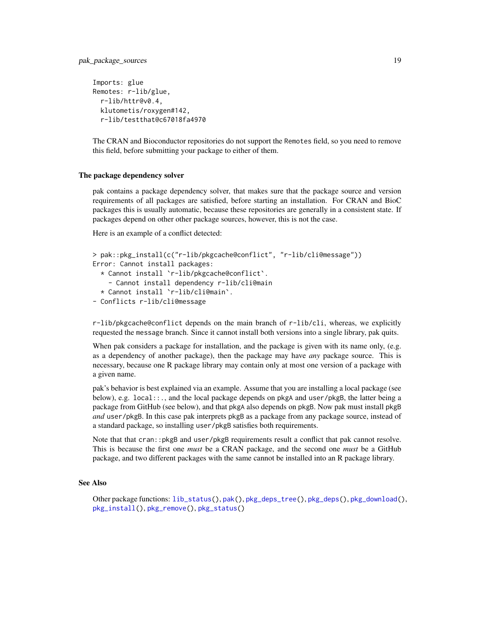```
Imports: glue
Remotes: r-lib/glue,
  r-lib/httr@v0.4,
 klutometis/roxygen#142,
  r-lib/testthat@c67018fa4970
```
The CRAN and Bioconductor repositories do not support the Remotes field, so you need to remove this field, before submitting your package to either of them.

#### The package dependency solver

pak contains a package dependency solver, that makes sure that the package source and version requirements of all packages are satisfied, before starting an installation. For CRAN and BioC packages this is usually automatic, because these repositories are generally in a consistent state. If packages depend on other other package sources, however, this is not the case.

Here is an example of a conflict detected:

```
> pak::pkg_install(c("r-lib/pkgcache@conflict", "r-lib/cli@message"))
Error: Cannot install packages:
  * Cannot install `r-lib/pkgcache@conflict`.
    - Cannot install dependency r-lib/cli@main
  * Cannot install `r-lib/cli@main`.
- Conflicts r-lib/cli@message
```
r-lib/pkgcache@conflict depends on the main branch of r-lib/cli, whereas, we explicitly requested the message branch. Since it cannot install both versions into a single library, pak quits.

When pak considers a package for installation, and the package is given with its name only, (e.g. as a dependency of another package), then the package may have *any* package source. This is necessary, because one R package library may contain only at most one version of a package with a given name.

pak's behavior is best explained via an example. Assume that you are installing a local package (see below), e.g. local::., and the local package depends on pkgA and user/pkgB, the latter being a package from GitHub (see below), and that pkgA also depends on pkgB. Now pak must install pkgB *and* user/pkgB. In this case pak interprets pkgB as a package from any package source, instead of a standard package, so installing user/pkgB satisfies both requirements.

Note that that cran::pkgB and user/pkgB requirements result a conflict that pak cannot resolve. This is because the first one *must* be a CRAN package, and the second one *must* be a GitHub package, and two different packages with the same cannot be installed into an R package library.

## See Also

Other package functions: [lib\\_status\(](#page-4-1)), [pak\(](#page-14-1)), [pkg\\_deps\\_tree\(](#page-22-1)), [pkg\\_deps\(](#page-20-1)), [pkg\\_download\(](#page-23-1)), [pkg\\_install\(](#page-24-1)), [pkg\\_remove\(](#page-26-1)), [pkg\\_status\(](#page-28-1))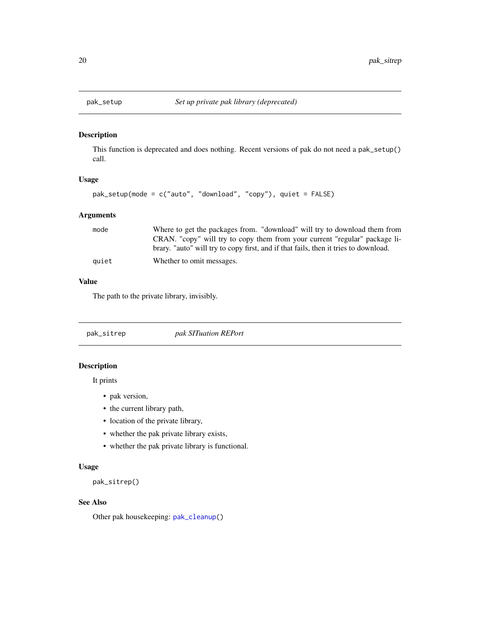<span id="page-19-0"></span>

This function is deprecated and does nothing. Recent versions of pak do not need a pak\_setup() call.

#### Usage

```
pak_setup(mode = c("auto", "download", "copy"), quiet = FALSE)
```
## Arguments

| mode  | Where to get the packages from. "download" will try to download them from           |
|-------|-------------------------------------------------------------------------------------|
|       | CRAN. "copy" will try to copy them from your current "regular" package li-          |
|       | brary. "auto" will try to copy first, and if that fails, then it tries to download. |
| quiet | Whether to omit messages.                                                           |

#### Value

The path to the private library, invisibly.

<span id="page-19-1"></span>pak\_sitrep *pak SITuation REPort*

## Description

It prints

- pak version,
- the current library path,
- location of the private library,
- whether the pak private library exists,
- whether the pak private library is functional.

#### Usage

pak\_sitrep()

#### See Also

Other pak housekeeping: [pak\\_cleanup\(](#page-15-1))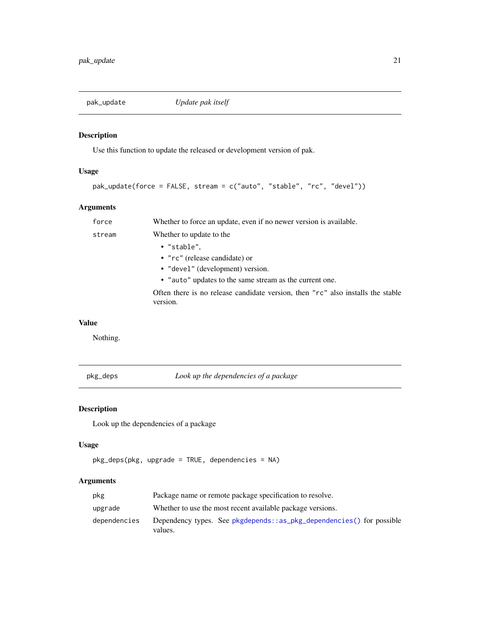<span id="page-20-0"></span>

Use this function to update the released or development version of pak.

## Usage

```
pak_update(force = FALSE, stream = c("auto", "stable", "rc", "devel"))
```
## Arguments

| force  | Whether to force an update, even if no newer version is available.                          |
|--------|---------------------------------------------------------------------------------------------|
| stream | Whether to update to the                                                                    |
|        | $\bullet$ "stable".                                                                         |
|        | • "rc" (release candidate) or                                                               |
|        | • "devel" (development) version.                                                            |
|        | • "auto" updates to the same stream as the current one.                                     |
|        | Often there is no release candidate version, then "rc" also installs the stable<br>version. |

## Value

Nothing.

<span id="page-20-1"></span>pkg\_deps *Look up the dependencies of a package*

## Description

Look up the dependencies of a package

## Usage

```
pkg_deps(pkg, upgrade = TRUE, dependencies = NA)
```
## Arguments

| pkg          | Package name or remote package specification to resolve.                        |
|--------------|---------------------------------------------------------------------------------|
| upgrade      | Whether to use the most recent available package versions.                      |
| dependencies | Dependency types. See pkgdepends::as_pkg_dependencies() for possible<br>values. |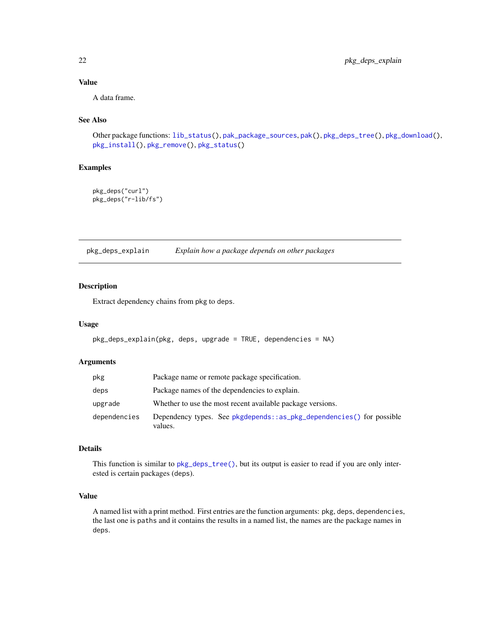## Value

A data frame.

## See Also

Other package functions: [lib\\_status\(](#page-4-1)), [pak\\_package\\_sources](#page-16-1), [pak\(](#page-14-1)), [pkg\\_deps\\_tree\(](#page-22-1)), [pkg\\_download\(](#page-23-1)), [pkg\\_install\(](#page-24-1)), [pkg\\_remove\(](#page-26-1)), [pkg\\_status\(](#page-28-1))

## Examples

```
pkg_deps("curl")
pkg_deps("r-lib/fs")
```
<span id="page-21-1"></span>pkg\_deps\_explain *Explain how a package depends on other packages*

#### Description

Extract dependency chains from pkg to deps.

#### Usage

```
pkg_deps_explain(pkg, deps, upgrade = TRUE, dependencies = NA)
```
#### Arguments

| pkg          | Package name or remote package specification.                                   |  |
|--------------|---------------------------------------------------------------------------------|--|
| deps         | Package names of the dependencies to explain.                                   |  |
| upgrade      | Whether to use the most recent available package versions.                      |  |
| dependencies | Dependency types. See pkgdepends::as_pkg_dependencies() for possible<br>values. |  |

#### Details

This function is similar to [pkg\\_deps\\_tree\(\)](#page-22-1), but its output is easier to read if you are only interested is certain packages (deps).

#### Value

A named list with a print method. First entries are the function arguments: pkg, deps, dependencies, the last one is paths and it contains the results in a named list, the names are the package names in deps.

<span id="page-21-0"></span>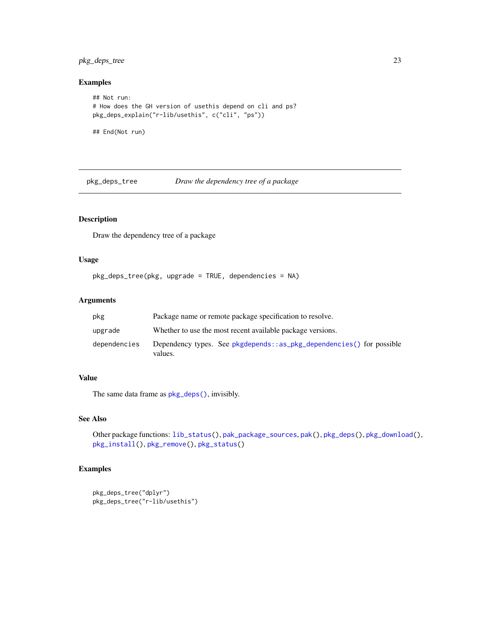## <span id="page-22-0"></span>pkg\_deps\_tree 23

#### Examples

```
## Not run:
# How does the GH version of usethis depend on cli and ps?
pkg_deps_explain("r-lib/usethis", c("cli", "ps"))
```
## End(Not run)

<span id="page-22-1"></span>pkg\_deps\_tree *Draw the dependency tree of a package*

## Description

Draw the dependency tree of a package

#### Usage

```
pkg_deps_tree(pkg, upgrade = TRUE, dependencies = NA)
```
## Arguments

| pkg          | Package name or remote package specification to resolve.                        |
|--------------|---------------------------------------------------------------------------------|
| upgrade      | Whether to use the most recent available package versions.                      |
| dependencies | Dependency types. See pkgdepends::as_pkg_dependencies() for possible<br>values. |

#### Value

The same data frame as [pkg\\_deps\(\)](#page-20-1), invisibly.

## See Also

Other package functions: [lib\\_status\(](#page-4-1)), [pak\\_package\\_sources](#page-16-1), [pak\(](#page-14-1)), [pkg\\_deps\(](#page-20-1)), [pkg\\_download\(](#page-23-1)), [pkg\\_install\(](#page-24-1)), [pkg\\_remove\(](#page-26-1)), [pkg\\_status\(](#page-28-1))

## Examples

```
pkg_deps_tree("dplyr")
pkg_deps_tree("r-lib/usethis")
```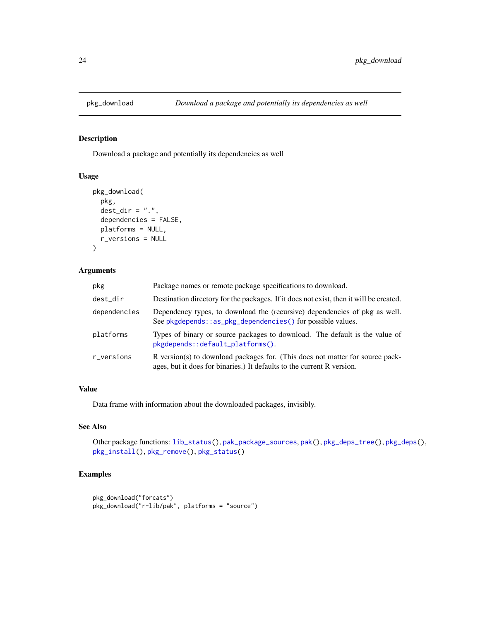<span id="page-23-1"></span><span id="page-23-0"></span>

Download a package and potentially its dependencies as well

## Usage

```
pkg_download(
  pkg,
  dest\_dir = "."dependencies = FALSE,
 platforms = NULL,
 r_versions = NULL
\lambda
```
## Arguments

| pkg          | Package names or remote package specifications to download.                                                                                             |
|--------------|---------------------------------------------------------------------------------------------------------------------------------------------------------|
| dest_dir     | Destination directory for the packages. If it does not exist, then it will be created.                                                                  |
| dependencies | Dependency types, to download the (recursive) dependencies of pkg as well.<br>See pkgdepends::as_pkg_dependencies() for possible values.                |
| platforms    | Types of binary or source packages to download. The default is the value of<br>pkgdepends::default_platforms().                                         |
| r_versions   | R version(s) to download packages for. (This does not matter for source pack-<br>ages, but it does for binaries.) It defaults to the current R version. |

## Value

Data frame with information about the downloaded packages, invisibly.

## See Also

```
Other package functions: lib_status(), pak_package_sources, pak(), pkg_deps_tree(), pkg_deps(),
pkg_install(), pkg_remove(), pkg_status()
```
## Examples

```
pkg_download("forcats")
pkg_download("r-lib/pak", platforms = "source")
```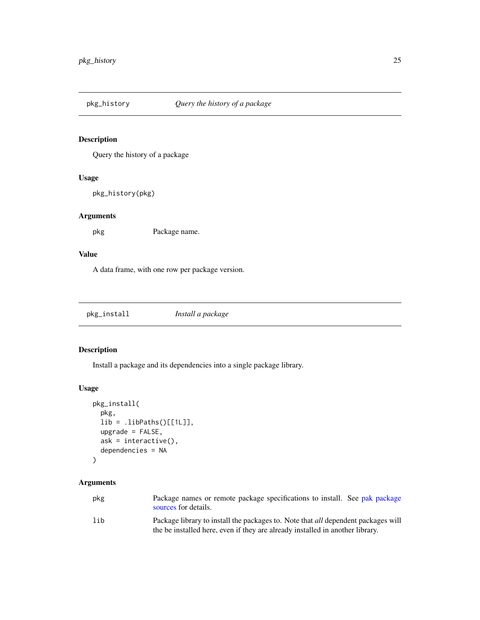<span id="page-24-0"></span>

Query the history of a package

## Usage

pkg\_history(pkg)

## Arguments

pkg Package name.

## Value

A data frame, with one row per package version.

<span id="page-24-1"></span>

| pkg_install | Install a package |
|-------------|-------------------|
|-------------|-------------------|

## Description

Install a package and its dependencies into a single package library.

## Usage

```
pkg_install(
 pkg,
  lib = .libPaths()[[1L]],
 upgrade = FALSE,
 ask = interactive(),
  dependencies = NA
)
```
## Arguments

| pkg | Package names or remote package specifications to install. See pak package<br>sources for details.                                                                        |
|-----|---------------------------------------------------------------------------------------------------------------------------------------------------------------------------|
| lih | Package library to install the packages to. Note that <i>all</i> dependent packages will<br>the be installed here, even if they are already installed in another library. |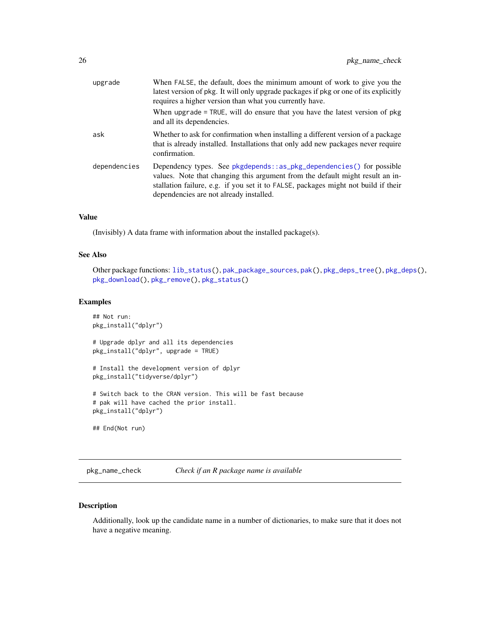<span id="page-25-0"></span>

| upgrade      | When FALSE, the default, does the minimum amount of work to give you the<br>latest version of pkg. It will only upgrade packages if pkg or one of its explicitly<br>requires a higher version than what you currently have.                                                            |
|--------------|----------------------------------------------------------------------------------------------------------------------------------------------------------------------------------------------------------------------------------------------------------------------------------------|
|              | When upgrade = TRUE, will do ensure that you have the latest version of pkg<br>and all its dependencies.                                                                                                                                                                               |
| ask          | Whether to ask for confirmation when installing a different version of a package<br>that is already installed. Installations that only add new packages never require<br>confirmation.                                                                                                 |
| dependencies | Dependency types. See pkgdepends::as_pkg_dependencies() for possible<br>values. Note that changing this argument from the default might result an in-<br>stallation failure, e.g. if you set it to FALSE, packages might not build if their<br>dependencies are not already installed. |

#### Value

(Invisibly) A data frame with information about the installed package(s).

## See Also

Other package functions: [lib\\_status\(](#page-4-1)), [pak\\_package\\_sources](#page-16-1), [pak\(](#page-14-1)), [pkg\\_deps\\_tree\(](#page-22-1)), [pkg\\_deps\(](#page-20-1)), [pkg\\_download\(](#page-23-1)), [pkg\\_remove\(](#page-26-1)), [pkg\\_status\(](#page-28-1))

#### Examples

```
## Not run:
pkg_install("dplyr")
# Upgrade dplyr and all its dependencies
pkg_install("dplyr", upgrade = TRUE)
# Install the development version of dplyr
pkg_install("tidyverse/dplyr")
# Switch back to the CRAN version. This will be fast because
# pak will have cached the prior install.
pkg_install("dplyr")
## End(Not run)
```
pkg\_name\_check *Check if an R package name is available*

## Description

Additionally, look up the candidate name in a number of dictionaries, to make sure that it does not have a negative meaning.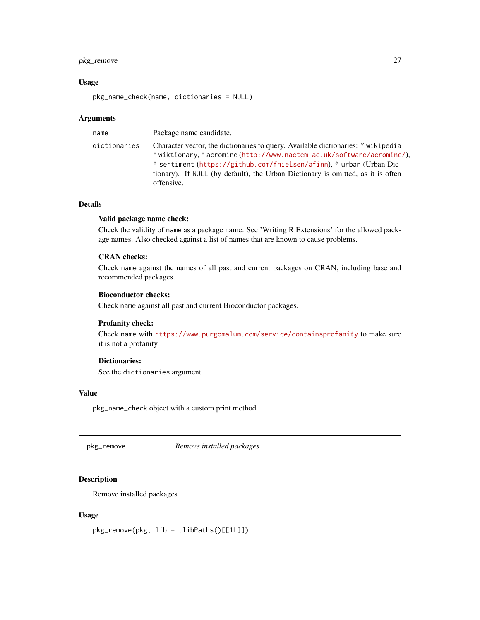## <span id="page-26-0"></span>pkg\_remove 27

#### Usage

pkg\_name\_check(name, dictionaries = NULL)

#### Arguments

name Package name candidate.

dictionaries Character vector, the dictionaries to query. Available dictionaries: \* wikipedia \* wiktionary, \* acromine (<http://www.nactem.ac.uk/software/acromine/>), \* sentiment (<https://github.com/fnielsen/afinn>), \* urban (Urban Dictionary). If NULL (by default), the Urban Dictionary is omitted, as it is often offensive.

## Details

#### Valid package name check:

Check the validity of name as a package name. See 'Writing R Extensions' for the allowed package names. Also checked against a list of names that are known to cause problems.

#### CRAN checks:

Check name against the names of all past and current packages on CRAN, including base and recommended packages.

#### Bioconductor checks:

Check name against all past and current Bioconductor packages.

#### Profanity check:

Check name with <https://www.purgomalum.com/service/containsprofanity> to make sure it is not a profanity.

#### Dictionaries:

See the dictionaries argument.

#### Value

pkg\_name\_check object with a custom print method.

<span id="page-26-1"></span>pkg\_remove *Remove installed packages*

#### Description

Remove installed packages

#### Usage

pkg\_remove(pkg, lib = .libPaths()[[1L]])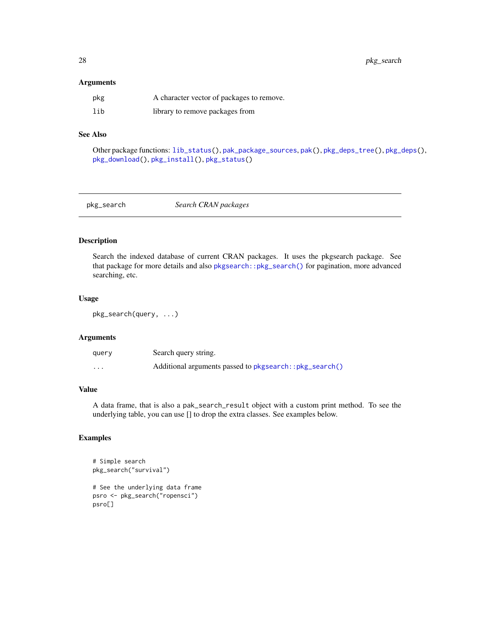<span id="page-27-0"></span>28 pkg\_search

#### Arguments

| pkg | A character vector of packages to remove. |
|-----|-------------------------------------------|
| lib | library to remove packages from           |

## See Also

Other package functions: [lib\\_status\(](#page-4-1)), [pak\\_package\\_sources](#page-16-1), [pak\(](#page-14-1)), [pkg\\_deps\\_tree\(](#page-22-1)), [pkg\\_deps\(](#page-20-1)), [pkg\\_download\(](#page-23-1)), [pkg\\_install\(](#page-24-1)), [pkg\\_status\(](#page-28-1))

pkg\_search *Search CRAN packages*

## Description

Search the indexed database of current CRAN packages. It uses the pkgsearch package. See that package for more details and also [pkgsearch::pkg\\_search\(\)](#page-0-0) for pagination, more advanced searching, etc.

#### Usage

```
pkg_search(query, ...)
```
## Arguments

| query    | Search query string.                                   |
|----------|--------------------------------------------------------|
| $\cdots$ | Additional arguments passed to pkgsearch::pkg_search() |

## Value

A data frame, that is also a pak\_search\_result object with a custom print method. To see the underlying table, you can use [] to drop the extra classes. See examples below.

#### Examples

```
# Simple search
pkg_search("survival")
# See the underlying data frame
psro <- pkg_search("ropensci")
psro[]
```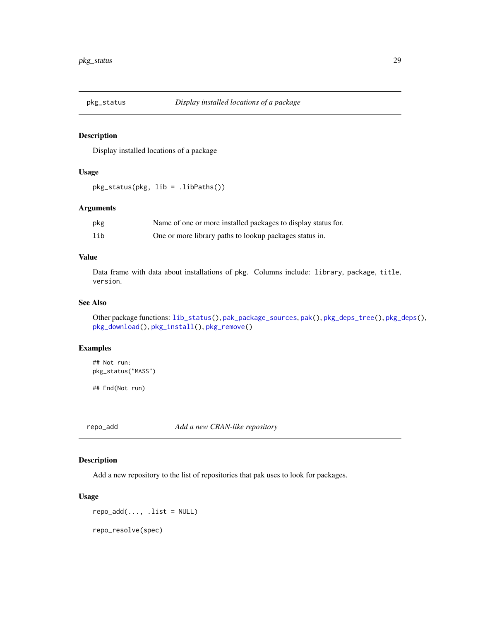<span id="page-28-1"></span><span id="page-28-0"></span>

Display installed locations of a package

## Usage

pkg\_status(pkg, lib = .libPaths())

#### Arguments

| pkg | Name of one or more installed packages to display status for. |
|-----|---------------------------------------------------------------|
| lib | One or more library paths to lookup packages status in.       |

## Value

Data frame with data about installations of pkg. Columns include: library, package, title, version.

## See Also

Other package functions: [lib\\_status\(](#page-4-1)), [pak\\_package\\_sources](#page-16-1), [pak\(](#page-14-1)), [pkg\\_deps\\_tree\(](#page-22-1)), [pkg\\_deps\(](#page-20-1)), [pkg\\_download\(](#page-23-1)), [pkg\\_install\(](#page-24-1)), [pkg\\_remove\(](#page-26-1))

## Examples

## Not run: pkg\_status("MASS")

## End(Not run)

<span id="page-28-2"></span>repo\_add *Add a new CRAN-like repository*

## Description

Add a new repository to the list of repositories that pak uses to look for packages.

#### Usage

 $repo\_add(..., .list = NULL)$ 

repo\_resolve(spec)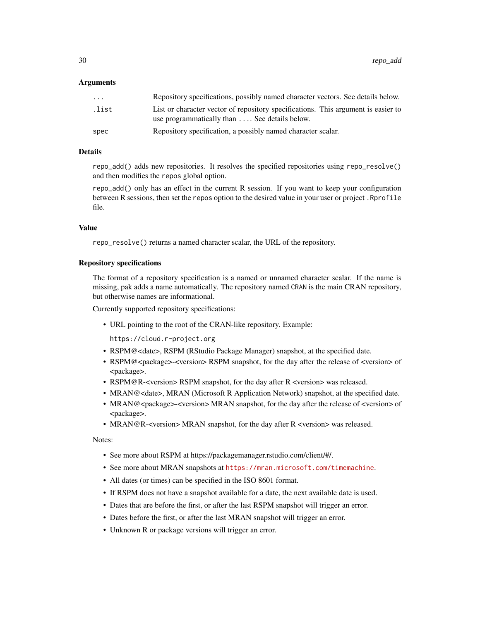#### Arguments

| $\cdot$ $\cdot$ $\cdot$ | Repository specifications, possibly named character vectors. See details below.                                                    |
|-------------------------|------------------------------------------------------------------------------------------------------------------------------------|
| .list                   | List or character vector of repository specifications. This argument is easier to<br>use programmatically than  See details below. |
| spec                    | Repository specification, a possibly named character scalar.                                                                       |

#### Details

repo\_add() adds new repositories. It resolves the specified repositories using repo\_resolve() and then modifies the repos global option.

repo\_add() only has an effect in the current R session. If you want to keep your configuration between R sessions, then set the repos option to the desired value in your user or project. Rprofile file.

#### Value

repo\_resolve() returns a named character scalar, the URL of the repository.

#### Repository specifications

The format of a repository specification is a named or unnamed character scalar. If the name is missing, pak adds a name automatically. The repository named CRAN is the main CRAN repository, but otherwise names are informational.

Currently supported repository specifications:

• URL pointing to the root of the CRAN-like repository. Example:

https://cloud.r-project.org

- RSPM@<date>, RSPM (RStudio Package Manager) snapshot, at the specified date.
- RSPM@<package>-<version> RSPM snapshot, for the day after the release of <version> of <package>.
- RSPM@R-<version> RSPM snapshot, for the day after R <version> was released.
- MRAN@<date>, MRAN (Microsoft R Application Network) snapshot, at the specified date.
- MRAN@<package>-<version> MRAN snapshot, for the day after the release of <version> of <package>.
- MRAN@R-<version> MRAN snapshot, for the day after R <version> was released.

Notes:

- See more about RSPM at https://packagemanager.rstudio.com/client/#/.
- See more about MRAN snapshots at <https://mran.microsoft.com/timemachine>.
- All dates (or times) can be specified in the ISO 8601 format.
- If RSPM does not have a snapshot available for a date, the next available date is used.
- Dates that are before the first, or after the last RSPM snapshot will trigger an error.
- Dates before the first, or after the last MRAN snapshot will trigger an error.
- Unknown R or package versions will trigger an error.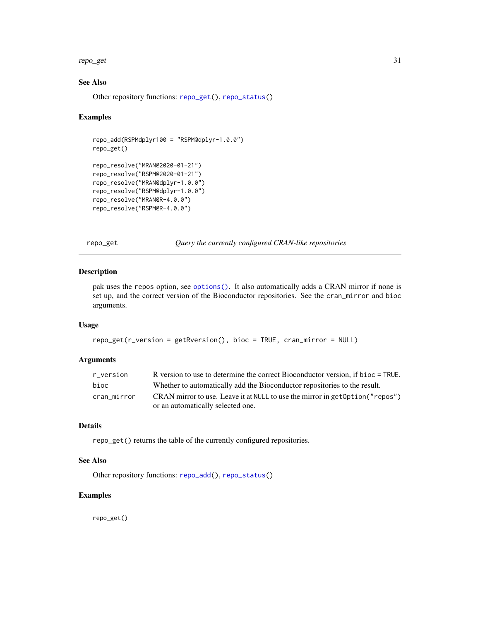#### <span id="page-30-0"></span>repo\_get 31

## See Also

Other repository functions: [repo\\_get\(](#page-30-1)), [repo\\_status\(](#page-31-1))

#### Examples

```
repo_add(RSPMdplyr100 = "RSPM@dplyr-1.0.0")
repo_get()
repo_resolve("MRAN@2020-01-21")
repo_resolve("RSPM@2020-01-21")
repo_resolve("MRAN@dplyr-1.0.0")
repo_resolve("RSPM@dplyr-1.0.0")
repo_resolve("MRAN@R-4.0.0")
repo_resolve("RSPM@R-4.0.0")
```
<span id="page-30-1"></span>repo\_get *Query the currently configured CRAN-like repositories*

## Description

pak uses the repos option, see [options\(\)](#page-0-0). It also automatically adds a CRAN mirror if none is set up, and the correct version of the Bioconductor repositories. See the cran\_mirror and bioc arguments.

#### Usage

```
repo_get(r_version = getRversion(), bioc = TRUE, cran_mirror = NULL)
```
#### Arguments

| r version   | R version to use to determine the correct Bioconductor version, if bioc = TRUE. |
|-------------|---------------------------------------------------------------------------------|
| bioc        | Whether to automatically add the Bioconductor repositories to the result.       |
| cran mirror | CRAN mirror to use. Leave it at NULL to use the mirror in get Option ("repos")  |
|             | or an automatically selected one.                                               |

## Details

repo\_get() returns the table of the currently configured repositories.

## See Also

Other repository functions: [repo\\_add\(](#page-28-2)), [repo\\_status\(](#page-31-1))

#### Examples

repo\_get()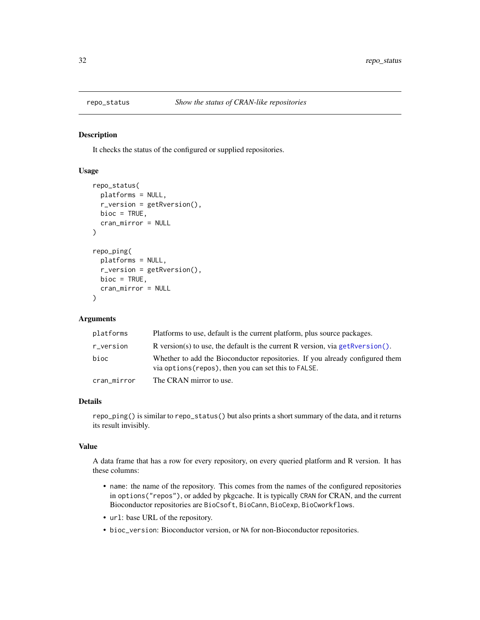<span id="page-31-1"></span><span id="page-31-0"></span>

It checks the status of the configured or supplied repositories.

#### Usage

```
repo_status(
 platforms = NULL,
 r_version = getRversion(),
 bioc = TRUE,
  cran_mirror = NULL
)
repo_ping(
 platforms = NULL,
  r_version = getRversion(),
 bioc = TRUE,
 cran_mirror = NULL
)
```
## Arguments

| platforms   | Platforms to use, default is the current platform, plus source packages.                                                             |
|-------------|--------------------------------------------------------------------------------------------------------------------------------------|
| r_version   | R version(s) to use, the default is the current R version, via get R version().                                                      |
| bioc        | Whether to add the Bioconductor repositories. If you already configured them<br>via options (repos), then you can set this to FALSE. |
| cran_mirror | The CRAN mirror to use.                                                                                                              |

#### Details

repo\_ping() is similar to repo\_status() but also prints a short summary of the data, and it returns its result invisibly.

#### Value

A data frame that has a row for every repository, on every queried platform and R version. It has these columns:

- name: the name of the repository. This comes from the names of the configured repositories in options("repos"), or added by pkgcache. It is typically CRAN for CRAN, and the current Bioconductor repositories are BioCsoft, BioCann, BioCexp, BioCworkflows.
- url: base URL of the repository.
- bioc\_version: Bioconductor version, or NA for non-Bioconductor repositories.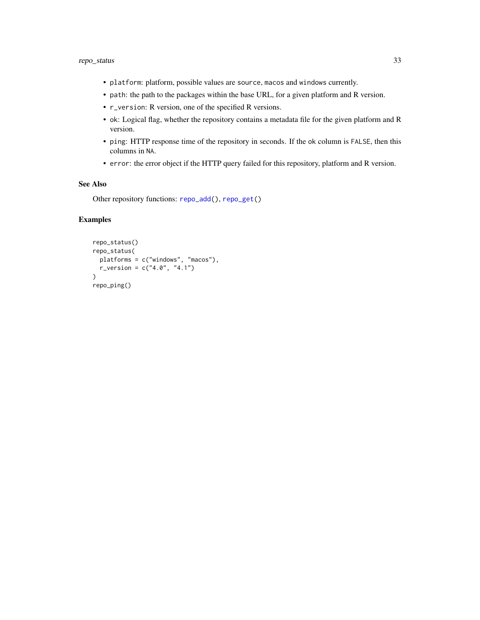- <span id="page-32-0"></span>• platform: platform, possible values are source, macos and windows currently.
- path: the path to the packages within the base URL, for a given platform and R version.
- r\_version: R version, one of the specified R versions.
- ok: Logical flag, whether the repository contains a metadata file for the given platform and R version.
- ping: HTTP response time of the repository in seconds. If the ok column is FALSE, then this columns in NA.
- error: the error object if the HTTP query failed for this repository, platform and R version.

#### See Also

Other repository functions: [repo\\_add\(](#page-28-2)), [repo\\_get\(](#page-30-1))

## Examples

```
repo_status()
repo_status(
  platforms = c("windows", "macos"),
  r_{\text{u}} version = c("4.0", "4.1")\mathcal{L}repo_ping()
```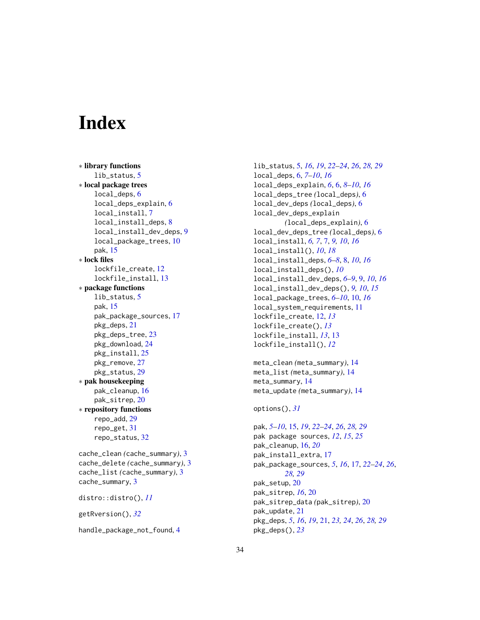# <span id="page-33-0"></span>**Index**

∗ library functions lib\_status, [5](#page-4-0) ∗ local package trees local\_deps, [6](#page-5-0) local\_deps\_explain, [6](#page-5-0) local\_install, [7](#page-6-0) local\_install\_deps, [8](#page-7-0) local\_install\_dev\_deps, [9](#page-8-0) local\_package\_trees, [10](#page-9-0) pak, [15](#page-14-0) ∗ lock files lockfile\_create, [12](#page-11-0) lockfile\_install, [13](#page-12-0) ∗ package functions lib\_status, [5](#page-4-0) pak, [15](#page-14-0) pak\_package\_sources, [17](#page-16-0) pkg\_deps, [21](#page-20-0) pkg\_deps\_tree, [23](#page-22-0) pkg\_download, [24](#page-23-0) pkg\_install, [25](#page-24-0) pkg\_remove, [27](#page-26-0) pkg\_status, [29](#page-28-0) ∗ pak housekeeping pak\_cleanup, [16](#page-15-0) pak\_sitrep, [20](#page-19-0) ∗ repository functions repo\_add, [29](#page-28-0) repo\_get, [31](#page-30-0) repo\_status, [32](#page-31-0) cache\_clean *(*cache\_summary*)*, [3](#page-2-0) cache\_delete *(*cache\_summary*)*, [3](#page-2-0) cache\_list *(*cache\_summary*)*, [3](#page-2-0) cache\_summary, [3](#page-2-0) distro::distro(), *[11](#page-10-0)* getRversion(), *[32](#page-31-0)* handle\_package\_not\_found, [4](#page-3-0)

lib\_status, [5,](#page-4-0) *[16](#page-15-0)*, *[19](#page-18-0)*, *[22](#page-21-0)[–24](#page-23-0)*, *[26](#page-25-0)*, *[28,](#page-27-0) [29](#page-28-0)* local\_deps, [6,](#page-5-0) *[7](#page-6-0)[–10](#page-9-0)*, *[16](#page-15-0)* local\_deps\_explain, *[6](#page-5-0)*, [6,](#page-5-0) *[8](#page-7-0)[–10](#page-9-0)*, *[16](#page-15-0)* local\_deps\_tree *(*local\_deps*)*, [6](#page-5-0) local\_dev\_deps *(*local\_deps*)*, [6](#page-5-0) local\_dev\_deps\_explain *(*local\_deps\_explain*)*, [6](#page-5-0) local\_dev\_deps\_tree *(*local\_deps*)*, [6](#page-5-0) local\_install, *[6,](#page-5-0) [7](#page-6-0)*, [7,](#page-6-0) *[9,](#page-8-0) [10](#page-9-0)*, *[16](#page-15-0)* local\_install(), *[10](#page-9-0)*, *[18](#page-17-0)* local\_install\_deps, *[6](#page-5-0)[–8](#page-7-0)*, [8,](#page-7-0) *[10](#page-9-0)*, *[16](#page-15-0)* local\_install\_deps(), *[10](#page-9-0)* local\_install\_dev\_deps, *[6](#page-5-0)[–9](#page-8-0)*, [9,](#page-8-0) *[10](#page-9-0)*, *[16](#page-15-0)* local\_install\_dev\_deps(), *[9,](#page-8-0) [10](#page-9-0)*, *[15](#page-14-0)* local\_package\_trees, *[6](#page-5-0)[–10](#page-9-0)*, [10,](#page-9-0) *[16](#page-15-0)* local\_system\_requirements, [11](#page-10-0) lockfile\_create, [12,](#page-11-0) *[13](#page-12-0)* lockfile\_create(), *[13](#page-12-0)* lockfile\_install, *[13](#page-12-0)*, [13](#page-12-0) lockfile\_install(), *[12](#page-11-0)*

```
meta_clean (meta_summary), 14
meta_list (meta_summary), 14
meta_summary, 14
meta_update (meta_summary), 14
```

```
options(), 31
```
pak, *[5–](#page-4-0)[10](#page-9-0)*, [15,](#page-14-0) *[19](#page-18-0)*, *[22](#page-21-0)[–24](#page-23-0)*, *[26](#page-25-0)*, *[28,](#page-27-0) [29](#page-28-0)* pak package sources, *[12](#page-11-0)*, *[15](#page-14-0)*, *[25](#page-24-0)* pak\_cleanup, [16,](#page-15-0) *[20](#page-19-0)* pak\_install\_extra, [17](#page-16-0) pak\_package\_sources, *[5](#page-4-0)*, *[16](#page-15-0)*, [17,](#page-16-0) *[22](#page-21-0)[–24](#page-23-0)*, *[26](#page-25-0)*, *[28,](#page-27-0) [29](#page-28-0)* pak\_setup, [20](#page-19-0) pak\_sitrep, *[16](#page-15-0)*, [20](#page-19-0) pak\_sitrep\_data *(*pak\_sitrep*)*, [20](#page-19-0) pak\_update, [21](#page-20-0) pkg\_deps, *[5](#page-4-0)*, *[16](#page-15-0)*, *[19](#page-18-0)*, [21,](#page-20-0) *[23,](#page-22-0) [24](#page-23-0)*, *[26](#page-25-0)*, *[28,](#page-27-0) [29](#page-28-0)* pkg\_deps(), *[23](#page-22-0)*